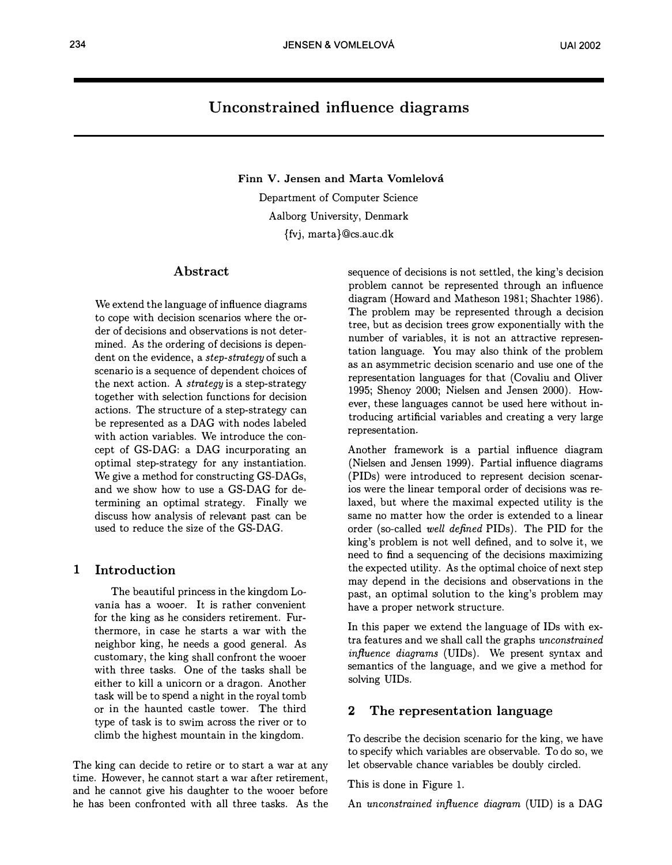# Unconstrained influence diagrams

Finn V. Jensen and Marta Vomlelová

Department of Computer Science Aalborg University, Denmark {fvj, marta}@cs.auc.dk

## Abstract

We extend the language of influence diagrams to cope with decision scenarios where the order of decisions and observations is not determined. As the ordering of decisions is dependent on the evidence, a step-strategy of such a scenario is a sequence of dependent choices of the next action. A strategy is a step-strategy together with selection functions for decision actions. The structure of a step-strategy can be represented as a DAG with nodes labeled with action variables. We introduce the concept of GS-DAG: a DAG incurporating an optimal step-strategy for any instantiation. We give a method for constructing GS-DAGs, and we show how to use a GS-DAG for determining an optimal strategy. Finally we discuss how analysis of relevant past can be used to reduce the size of the GS-DAG.

## 1 Introduction

The beautiful princess in the kingdom Lovania has a wooer. It is rather convenient for the king as he considers retirement. Furthermore, in case he starts a war with the neighbor king, he needs a good general. As customary, the king shall confront the wooer with three tasks. One of the tasks shall be either to kill a unicorn or a dragon. Another task will be to spend a night in the royal tomb or in the haunted castle tower. The third type of task is to swim across the river or to climb the highest mountain in the kingdom.

The king can decide to retire or to start a war at any time. However, he cannot start a war after retirement, and he cannot give his daughter to the wooer before he has been confronted with all three tasks. As the sequence of decisions is not settled, the king's decision problem cannot be represented through an influence diagram (Howard and Matheson 1981; Shachter 1986). The problem may be represented through a decision tree, but as decision trees grow exponentially with the number of variables, it is not an attractive representation language. You may also think of the problem as an asymmetric decision scenario and use one of the representation languages for that (Covaliu and Oliver 1995; Shenoy 2000; Nielsen and Jensen 2000). However, these languages cannot be used here without introducing artificial variables and creating a very large representation.

Another framework is a partial influence diagram (Nielsen and Jensen 1999). Partial influence diagrams (PIDs) were introduced to represent decision scenarios were the linear temporal order of decisions was relaxed, but where the maximal expected utility is the same no matter how the order is extended to a linear order (so-called well defined PIDs). The PID for the king's problem is not well defined, and to solve it, we need to find a sequencing of the decisions maximizing the expected utility. As the optimal choice of next step may depend in the decisions and observations in the past, an optimal solution to the king's problem may have a proper network structure.

In this paper we extend the language of IDs with extra features and we shall call the graphs unconstrained influence diagrams (UIDs). We present syntax and semantics of the language, and we give a method for solving UIDs.

## 2 The representation language

To describe the decision scenario for the king, we have to specify which variables are observable. To do so, we let observable chance variables be doubly circled.

This is done in Figure 1.

An unconstrained influence diagram (UID) is a DAG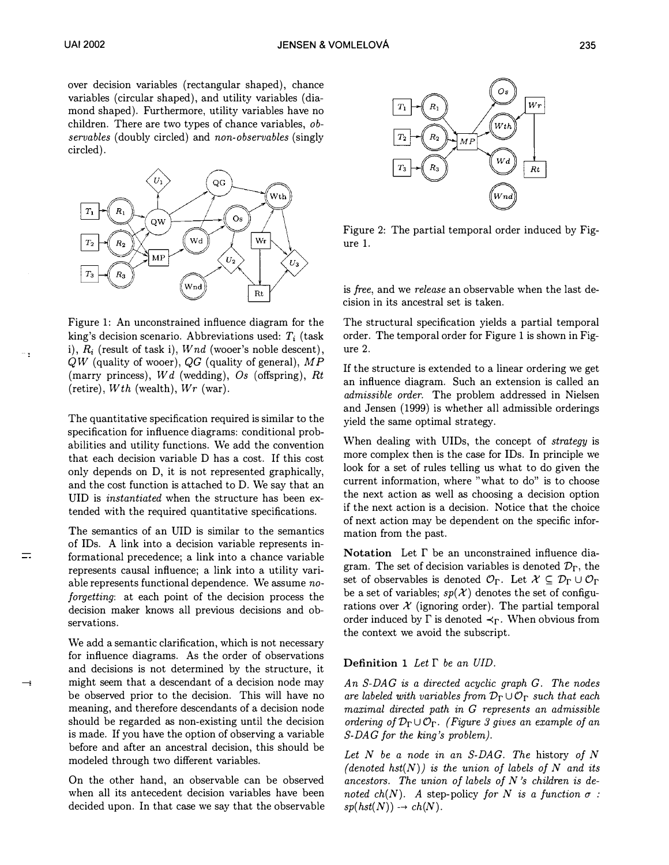

Figure 1: An unconstrained influence diagram for the king's decision scenario. Abbreviations used:  $T_i$  (task i),  $R_i$  (result of task i),  $Wnd$  (wooer's noble descent),  $QW$  (quality of wooer),  $QG$  (quality of general),  $MP$ (marry princess),  $Wd$  (wedding),  $Os$  (offspring),  $Rt$ (retire),  $Wth$  (wealth),  $Wr$  (war).

The quantitative specification required is similar to the specification for influence diagrams: conditional probabilities and utility functions. We add the convention that each decision variable D has a cost. If this cost only depends on D, it is not represented graphically, and the cost function is attached to D. We say that an UID is instantiated when the structure has been extended with the required quantitative specifications.

The semantics of an UID is similar to the semantics of IDs. A link into a decision variable represents informational precedence; a link into a chance variable represents causal influence; a link into a utility variable represents functional dependence. We assume noforgetting: at each point of the decision process the decision maker knows all previous decisions and observations.

We add a semantic clarification, which is not necessary for influence diagrams. As the order of observations and decisions is not determined by the structure, it might seem that a descendant of a decision node may be observed prior to the decision. This will have no meaning, and therefore descendants of a decision node should be regarded as non-existing until the decision is made. If you have the option of observing a variable before and after an ancestral decision, this should be modeled through two different variables.

--;

 $\equiv$ 

On the other hand, an observable can be observed when all its antecedent decision variables have been decided upon. In that case we say that the observable



Figure 2: The partial temporal order induced by Figure 1.

is free, and we release an observable when the last decision in its ancestral set is taken.

The structural specification yields a partial temporal order. The temporal order for Figure 1 is shown in Figure 2.

If the structure is extended to a linear ordering we get an influence diagram. Such an extension is called an admissible order. The problem addressed in Nielsen and Jensen (1999) is whether all admissible orderings yield the same optimal strategy.

When dealing with UIDs, the concept of *strategy* is more complex then is the case for IDs. In principle we look for a set of rules telling us what to do given the current information, where "what to do" is to choose the next action as well as choosing a decision option if the next action is a decision. Notice that the choice of next action may be dependent on the specific information from the past.

Notation Let  $\Gamma$  be an unconstrained influence diagram. The set of decision variables is denoted  $\mathcal{D}_{\Gamma}$ , the set of observables is denoted  $\mathcal{O}_{\Gamma}$ . Let  $\mathcal{X} \subseteq \mathcal{D}_{\Gamma} \cup \mathcal{O}_{\Gamma}$ be a set of variables;  $sp(X)$  denotes the set of configurations over  $\mathcal X$  (ignoring order). The partial temporal order induced by  $\Gamma$  is denoted  $\prec_{\Gamma}$ . When obvious from the context we avoid the subscript.

#### Definition 1 Let  $\Gamma$  be an UID.

An S-DAG is a directed acyclic graph G. The nodes are labeled with variables from  $\mathcal{D}_{\Gamma} \cup \mathcal{O}_{\Gamma}$  such that each maximal directed path in G represents an admissible ordering of  $\mathcal{D}_{\Gamma} \cup \mathcal{O}_{\Gamma}$ . (Figure 3 gives an example of an S-DAG for the king's problem).

Let  $N$  be a node in an S-DAG. The history of  $N$ (denoted hst $(N)$ ) is the union of labels of N and its ancestors. The union of labels of  $N$ 's children is denoted ch(N). A step-policy for N is a function  $\sigma$ :  $sp(hst(N)) \rightarrow ch(N)$ .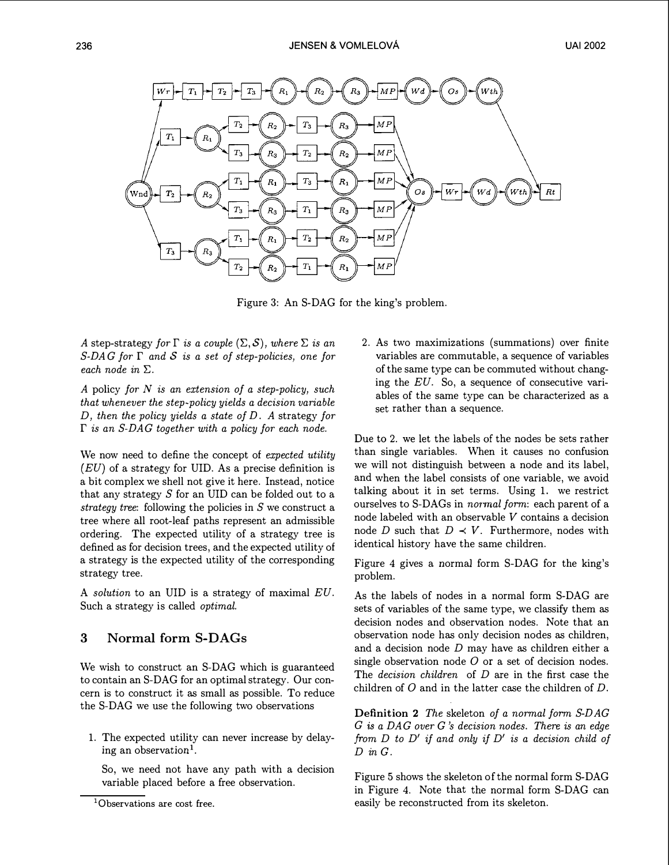

Figure 3: An S-DAG for the king's problem.

A step-strategy for  $\Gamma$  is a couple  $(\Sigma, \mathcal{S})$ , where  $\Sigma$  is an  $S\text{-}DAG$  for  $\Gamma$  and  $S$  is a set of step-policies, one for each node in  $\Sigma$ .

A policy for  $N$  is an extension of a step-policy, such that whenever the step-policy yields a decision variable D, then the policy yields a state of  $D$ . A strategy for  $\Gamma$  is an S-DAG together with a policy for each node.

We now need to define the concept of expected utility  $(EU)$  of a strategy for UID. As a precise definition is a bit complex we shell not give it here. Instead, notice that any strategy  $S$  for an UID can be folded out to a strategy tree: following the policies in  $S$  we construct a tree where all root-leaf paths represent an admissible ordering. The expected utility of a strategy tree is defined as for decision trees, and the expected utility of a strategy is the expected utility of the corresponding strategy tree.

A solution to an UID is a strategy of maximal EU. Such a strategy is called optimal.

# 3 Normal form S-DAGs

We wish to construct an S-DAG which is guaranteed to contain an S-DAG for an optimal strategy. Our concern is to construct it as small as possible. To reduce the S-DAG we use the following two observations

1. The expected utility can never increase by delaying an observation<sup>1</sup>.

So, we need not have any path with a decision variable placed before a free observation.

2. As two maximizations (summations) over finite variables are commutable, a sequence of variables of the same type can be commuted without changing the EU. So, a sequence of consecutive variables of the same type can be characterized as a set rather than a sequence.

Due to 2, we let the labels of the nodes be sets rather than single variables. When it causes no confusion we will not distinguish between a node and its label, and when the label consists of one variable, we avoid talking about it in set terms. Using 1. we restrict ourselves to S-DAGs in *normal form*: each parent of a node labeled with an observable  $V$  contains a decision node D such that  $D \prec V$ . Furthermore, nodes with identical history have the same children.

Figure 4 gives a normal form S-DAG for the king's problem.

As the labels of nodes in a normal form S-DAG are sets of variables of the same type, we classify them as decision nodes and observation nodes. Note that an observation node has only decision nodes as children, and a decision node  $D$  may have as children either a single observation node  $O$  or a set of decision nodes. The *decision children* of  $D$  are in the first case the children of  $O$  and in the latter case the children of  $D$ .

Definition 2 The skeleton of a normal form S-DAG  $G$  is a DAG over  $G$  's decision nodes. There is an edge from  $D$  to  $D'$  if and only if  $D'$  is a decision child of  $D$  in  $G$ .

Figure 5 shows the skeleton of the normal form S-DAG in Figure 4. Note that the normal form S-DAG can easily be reconstructed from its skeleton.

<sup>&</sup>lt;sup>1</sup>Observations are cost free.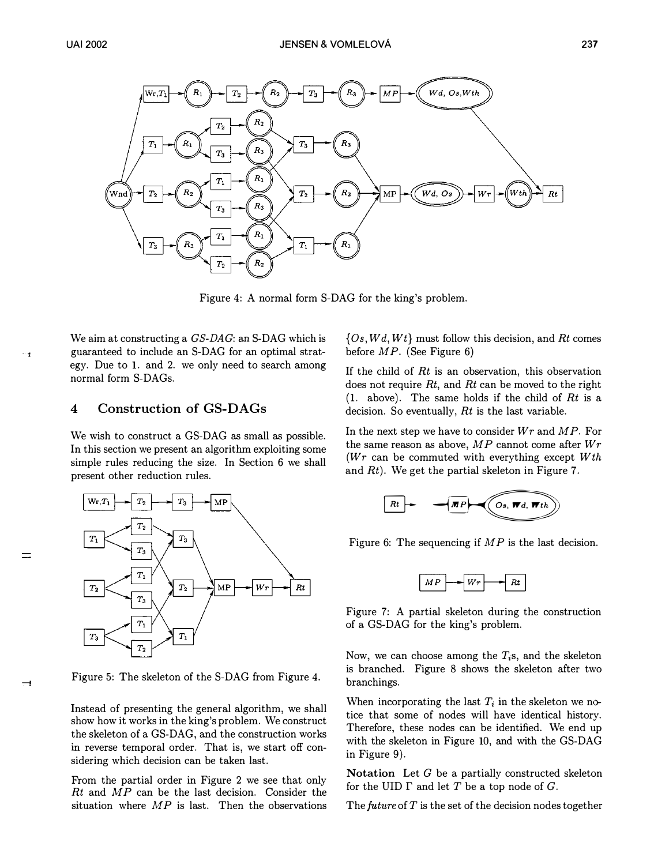

Figure 4: A normal form S-DAG for the king's problem.

We aim at constructing a *GS-DAG*: an S-DAG which is guaranteed to include an S-DAG for an optimal strategy. Due to 1. and 2. we only need to search among normal form S-DAGs.

# 4 Construction of GS-DAGs

We wish to construct a GS-DAG as small as possible. In this section we present an algorithm exploiting some simple rules reducing the size. In Section 6 we shall present other reduction rules.



Figure 5: The skeleton of the S-DAG from Figure 4.

 $\rightarrow$ 

Instead of presenting the general algorithm, we shall show how it works in the king's problem. We construct the skeleton of a GS-DAG, and the construction works in reverse temporal order. That is, we start off considering which decision can be taken last.

From the partial order in Figure 2 we see that only  $Rt$  and  $MP$  can be the last decision. Consider the situation where  $MP$  is last. Then the observations  $\{Os, Wd, Wt\}$  must follow this decision, and Rt comes before  $MP$ . (See Figure 6)

If the child of  $Rt$  is an observation, this observation does not require  $Rt$ , and  $Rt$  can be moved to the right (1. above). The same holds if the child of  $Rt$  is a decision. So eventually,  $Rt$  is the last variable.

In the next step we have to consider  $Wr$  and  $MP$ . For the same reason as above,  $MP$  cannot come after  $Wr$ ( $Wr$  can be commuted with everything except  $Wth$ and  $Rt$ ). We get the partial skeleton in Figure 7.



Figure 6: The sequencing if  $MP$  is the last decision.



Figure 7: A partial skeleton during the construction of a GS-DAG for the king's problem.

Now, we can choose among the  $T<sub>i</sub>$ s, and the skeleton is branched. Figure 8 shows the skeleton after two branchings.

When incorporating the last  $T_i$  in the skeleton we notice that some of nodes will have identical history. Therefore, these nodes can be identified. We end up with the skeleton in Figure 10, and with the GS-DAG in Figure 9).

Notation Let  $G$  be a partially constructed skeleton for the UID  $\Gamma$  and let  $T$  be a top node of  $G$ .

The future of  $T$  is the set of the decision nodes together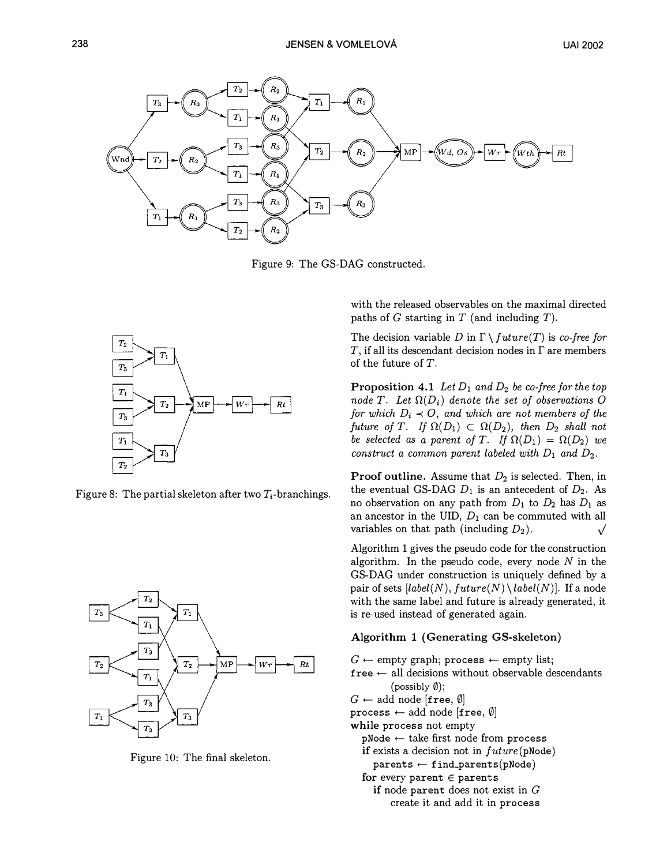

Figure 9: The GS-DAG constructed.



Figure 8: The partial skeleton after two  $T_i$ -branchings.



Figure 10: The final skeleton.

with the released observables on the maximal directed paths of  $G$  starting in  $T$  (and including  $T$ ).

The decision variable D in  $\Gamma \setminus future(T)$  is co-free for  $T$ , if all its descendant decision nodes in  $\Gamma$  are members of the future of  $T$ .

**Proposition 4.1** Let  $D_1$  and  $D_2$  be co-free for the top node T. Let  $\Omega(D_i)$  denote the set of observations O for which  $D_i \prec O$ , and which are not members of the future of T. If  $\Omega(D_1) \subset \Omega(D_2)$ , then  $D_2$  shall not be selected as a parent of T. If  $\Omega(D_1) = \Omega(D_2)$  we construct a common parent labeled with  $D_1$  and  $D_2$ .

**Proof outline.** Assume that  $D_2$  is selected. Then, in the eventual GS-DAG  $D_1$  is an antecedent of  $D_2$ . As no observation on any path from  $D_1$  to  $D_2$  has  $D_1$  as an ancestor in the UID,  $D_1$  can be commuted with all variables on that path (including  $D_2$ ).

Algorithm 1 gives the pseudo code for the construction algorithm. In the pseudo code, every node  $N$  in the GS-DAG under construction is uniquely defined by a pair of sets  $[label(N), future(N) \setminus label(N)]$ . If a node with the same label and future is already generated, it is re-used instead of generated again.

### Algorithm 1 (Generating GS-skeleton)

 $G \leftarrow \text{empty graph}; \text{process} \leftarrow \text{empty list};$  $free \leftarrow all decisions without observable descendants$  $(possibly 0);$  $G \leftarrow$  add node [free,  $\emptyset$ ] process  $\leftarrow$  add node [free,  $\emptyset$ ] while process not empty  $pNode \leftarrow take first node from process$ if exists a decision not in  $future(pNode)$  $parents \leftarrow find\_parents(pNode)$ for every parent  $\in$  parents if node parent does not exist in  $G$ create it and add it in process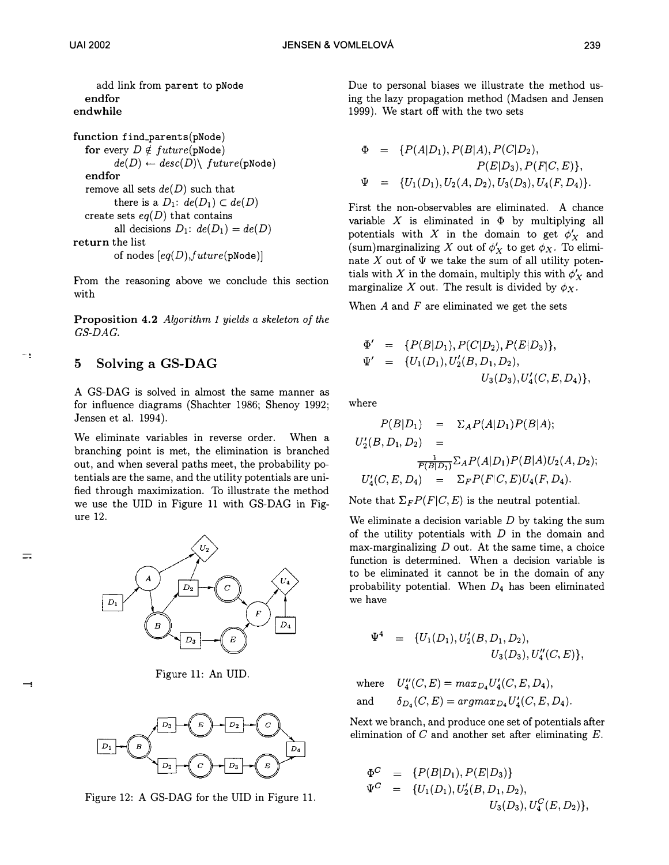add link from parent to pNode endfor end while

function find\_parents(pNode) for every  $D \notin future(pNode)$  $de(D) \leftarrow desc(D) \setminus future(pNode)$ endfor remove all sets  $de(D)$  such that there is a  $D_1$ :  $de(D_1) \subset de(D)$ create sets  $eq(D)$  that contains all decisions  $D_1$ :  $de(D_1) = de(D)$ return the list of nodes  $[eq(D), future(pNode)]$ 

From the reasoning above we conclude this section with

Proposition 4.2 Algorithm 1 yields a skeleton of the GS-DAG.

# 5 Solving a GS-DAG

 $=$ 

A GS-DAG is solved in almost the same manner as for influence diagrams (Shachter 1986; Shenoy 1992; Jensen et al. 1994).

We eliminate variables in reverse order. When a branching point is met, the elimination is branched out, and when several paths meet, the probability potentials are the same, and the utility potentials are unified through maximization. To illustrate the method we use the UID in Figure 11 with GS-DAG in Figure 12.



Figure 11: An UID.



Figure 12: A GS-DAG for the UID in Figure 11.

Due to personal biases we illustrate the method using the lazy propagation method (Madsen and Jensen 1999). We start off with the two sets

$$
\Phi = \{P(A|D_1), P(B|A), P(C|D_2),
$$
  
\n
$$
P(E|D_3), P(F|C, E)\},
$$
  
\n
$$
\Psi = \{U_1(D_1), U_2(A, D_2), U_3(D_3), U_4(F, D_4)\}.
$$

First the non-observables are eliminated. A chance variable X is eliminated in  $\Phi$  by multiplying all potentials with X in the domain to get  $\phi'_X$  and (sum)marginalizing X out of  $\phi'_X$  to get  $\phi_X$ . To eliminate X out of  $\Psi$  we take the sum of all utility potentials with X in the domain, multiply this with  $\phi'_X$  and marginalize X out. The result is divided by  $\phi_X$ .

When  $A$  and  $F$  are eliminated we get the sets

$$
\begin{array}{rcl}\n\Phi' & = & \{P(B|D_1), P(C|D_2), P(E|D_3)\}, \\
\Psi' & = & \{U_1(D_1), U_2'(B, D_1, D_2), \\
& U_3(D_3), U_4'(C, E, D_4)\},\n\end{array}
$$

where

$$
P(B|D_1) = \sum_A P(A|D_1) P(B|A);
$$
  
\n
$$
U'_2(B, D_1, D_2) =
$$
  
\n
$$
\frac{1}{P(B|D_1)} \sum_A P(A|D_1) P(B|A) U_2(A, D_2);
$$
  
\n
$$
U'_4(C, E, D_4) = \sum_F P(F|C, E) U_4(F, D_4).
$$

Note that  $\Sigma_F P(F|C, E)$  is the neutral potential.

We eliminate a decision variable  $D$  by taking the sum of the utility potentials with  $D$  in the domain and max-marginalizing  $D$  out. At the same time, a choice function is determined. When a decision variable is to be eliminated it cannot be in the domain of any probability potential. When  $D_4$  has been eliminated we have

$$
\Psi^4 = \{U_1(D_1), U'_2(B, D_1, D_2), U_3(D_3), U''_4(C, E) \},\
$$

where  $U''_4(C,E)=max_{D_4}U'_4(C,E,D_4),$ and  $\delta_{D_4}(C,E) = argmax_{D_4}U'_4(C,E,D_4).$ 

Next we branch, and produce one set of potentials after elimination of  $C$  and another set after eliminating  $E$ .

$$
\begin{array}{rcl}\n\Phi^C & = & \{P(B|D_1), P(E|D_3)\} \\
\Psi^C & = & \{U_1(D_1), U_2'(B, D_1, D_2), \\
& U_3(D_3), U_4^C(E, D_2)\},\n\end{array}
$$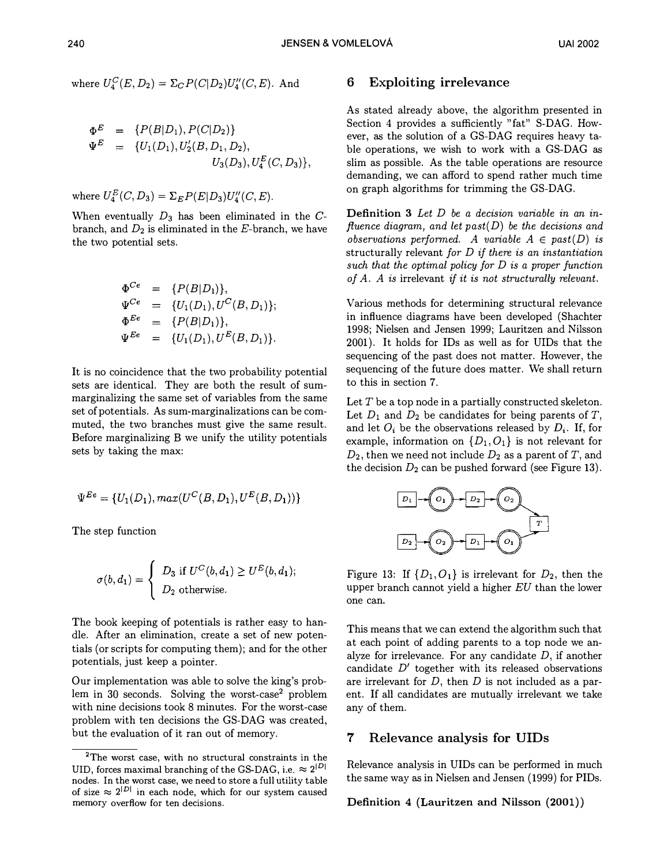$$
\begin{array}{rcl}\n\Phi^E &=& \{P(B|D_1), P(C|D_2)\} \\
\Psi^E &=& \{U_1(D_1), U_2'(B, D_1, D_2), \\
& & U_3(D_3), U_4^E(C, D_3)\},\n\end{array}
$$

where  $U_4^E(C, D_3) = \sum_E P(E|D_3)U_4^{\prime\prime}(C, E)$ .

When eventually  $D_3$  has been eliminated in the  $C$ branch, and  $D_2$  is eliminated in the E-branch, we have the two potential sets.

$$
\begin{array}{rcl}\n\Phi^{Ce} & = & \{P(B|D_1)\}, \\
\Psi^{Ce} & = & \{U_1(D_1), U^C(B, D_1)\}; \\
\Phi^{Ee} & = & \{P(B|D_1)\}, \\
\Psi^{Ee} & = & \{U_1(D_1), U^E(B, D_1)\}.\n\end{array}
$$

It is no coincidence that the two probability potential sets are identical. They are both the result of summarginalizing the same set of variables from the same set of potentials. As sum-marginalizations can be commuted, the two branches must give the same result. Before marginalizing B we unify the utility potentials sets by taking the max:

$$
\Psi^{Ee} = \{U_1(D_1), \max(U^C(B, D_1), U^E(B, D_1))\}
$$

The step function

$$
\sigma(b, d_1) = \begin{cases} D_3 \text{ if } U^C(b, d_1) \ge U^E(b, d_1); \\ D_2 \text{ otherwise.} \end{cases}
$$

The book keeping of potentials is rather easy to handle. After an elimination, create a set of new potentials (or scripts for computing them); and for the other potentials, just keep a pointer.

Our implementation was able to solve the king's problem in 30 seconds. Solving the worst-case<sup>2</sup> problem with nine decisions took 8 minutes. For the worst-case problem with ten decisions the GS-DAG was created, but the evaluation of it ran out of memory.

## 6 Exploiting irrelevance

As stated already above, the algorithm presented in Section 4 provides a sufficiently "fat" S-DAG. However, as the solution of a GS-DAG requires heavy table operations, we wish to work with a GS-DAG as slim as possible. As the table operations are resource demanding, we can afford to spend rather much time on graph algorithms for trimming the GS-DAG.

Definition 3 Let D be a decision variable in an influence diagram, and let  $past(D)$  be the decisions and observations performed. A variable  $A \in past(D)$  is structurally relevant for  $D$  if there is an instantiation such that the optimal policy for  $D$  is a proper function of A. A is irrelevant if it is not structurally relevant.

Various methods for determining structural relevance in influence diagrams have been developed (Shachter 1998; Nielsen and Jensen 1999; Lauritzen and Nilsson 2001). It holds for IDs as well as for UIDs that the sequencing of the past does not matter. However, the sequencing of the future does matter. We shall return to this in section 7.

Let  $T$  be a top node in a partially constructed skeleton. Let  $D_1$  and  $D_2$  be candidates for being parents of T, and let  $O_i$  be the observations released by  $D_i$ . If, for example, information on  $\{D_1, O_1\}$  is not relevant for  $D_2$ , then we need not include  $D_2$  as a parent of T, and the decision  $D_2$  can be pushed forward (see Figure 13).



Figure 13: If  $\{D_1, O_1\}$  is irrelevant for  $D_2$ , then the upper branch cannot yield a higher  $EU$  than the lower one can.

This means that we can extend the algorithm such that at each point of adding parents to a top node we analyze for irrelevance. For any candidate  $D$ , if another candidate  $D'$  together with its released observations are irrelevant for  $D$ , then  $D$  is not included as a parent. If all candidates are mutually irrelevant we take any of them.

## 7 Relevance analysis for UIDs

Relevance analysis in UIDs can be performed in much the same way as in Nielsen and Jensen (1999) for PIDs.

Definition 4 (Lauritzen and Nilsson (2001))

<sup>2</sup>The worst case, with no structural constraints in the UID, forces maximal branching of the GS-DAG, i.e.  $\approx 2^{|D|}$ nodes. In the worst case, we need to store a full utility table of size  $\approx 2^{|D|}$  in each node, which for our system caused memory overflow for ten decisions.